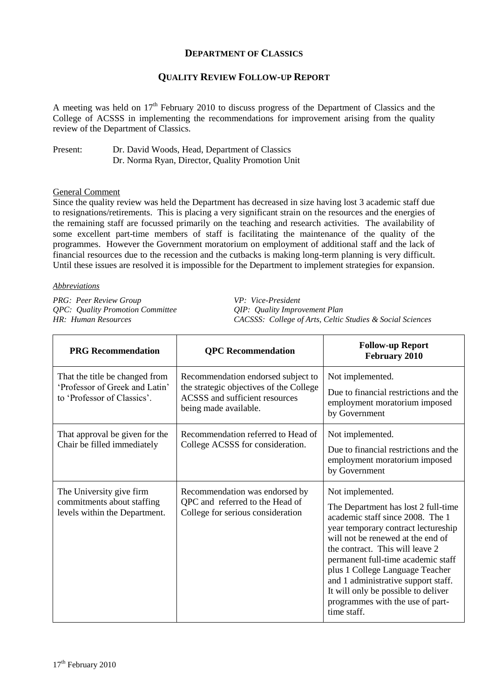## **DEPARTMENT OF CLASSICS**

## **QUALITY REVIEW FOLLOW-UP REPORT**

A meeting was held on  $17<sup>th</sup>$  February 2010 to discuss progress of the Department of Classics and the College of ACSSS in implementing the recommendations for improvement arising from the quality review of the Department of Classics.

Present: Dr. David Woods, Head, Department of Classics Dr. Norma Ryan, Director, Quality Promotion Unit

## General Comment

Since the quality review was held the Department has decreased in size having lost 3 academic staff due to resignations/retirements. This is placing a very significant strain on the resources and the energies of the remaining staff are focussed primarily on the teaching and research activities. The availability of some excellent part-time members of staff is facilitating the maintenance of the quality of the programmes. However the Government moratorium on employment of additional staff and the lack of financial resources due to the recession and the cutbacks is making long-term planning is very difficult. Until these issues are resolved it is impossible for the Department to implement strategies for expansion.

## *Abbreviations*

*PRG: Peer Review Group VP: Vice-President QPC: Quality Promotion Committee QIP: Quality Improvement Plan*

*HR: Human Resources CACSSS: College of Arts, Celtic Studies & Social Sciences*

| <b>PRG Recommendation</b>                                                                       | <b>QPC</b> Recommendation                                                                                                                | <b>Follow-up Report</b><br>February 2010                                                                                                                                                                                                                                                                                                                                                                             |
|-------------------------------------------------------------------------------------------------|------------------------------------------------------------------------------------------------------------------------------------------|----------------------------------------------------------------------------------------------------------------------------------------------------------------------------------------------------------------------------------------------------------------------------------------------------------------------------------------------------------------------------------------------------------------------|
| That the title be changed from<br>'Professor of Greek and Latin'<br>to 'Professor of Classics'. | Recommendation endorsed subject to<br>the strategic objectives of the College<br>ACSSS and sufficient resources<br>being made available. | Not implemented.<br>Due to financial restrictions and the<br>employment moratorium imposed<br>by Government                                                                                                                                                                                                                                                                                                          |
| That approval be given for the<br>Chair be filled immediately                                   | Recommendation referred to Head of<br>College ACSSS for consideration.                                                                   | Not implemented.<br>Due to financial restrictions and the<br>employment moratorium imposed<br>by Government                                                                                                                                                                                                                                                                                                          |
| The University give firm<br>commitments about staffing<br>levels within the Department.         | Recommendation was endorsed by<br>QPC and referred to the Head of<br>College for serious consideration                                   | Not implemented.<br>The Department has lost 2 full-time<br>academic staff since 2008. The 1<br>year temporary contract lectureship<br>will not be renewed at the end of<br>the contract. This will leave 2<br>permanent full-time academic staff<br>plus 1 College Language Teacher<br>and 1 administrative support staff.<br>It will only be possible to deliver<br>programmes with the use of part-<br>time staff. |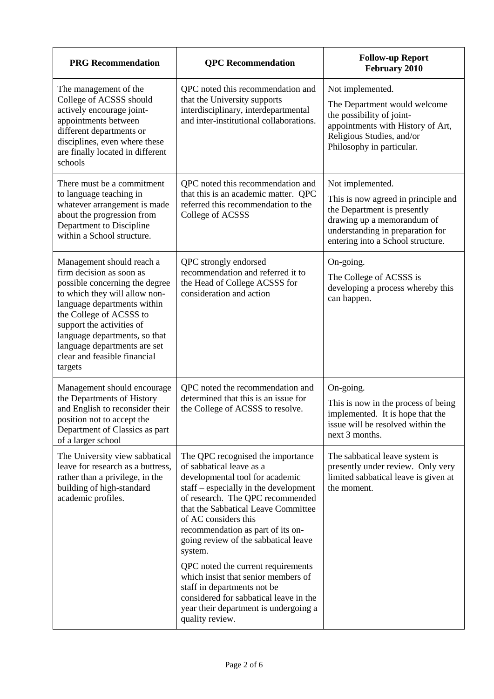| <b>PRG</b> Recommendation                                                                                                                                                                                                                                                                                                   | <b>QPC</b> Recommendation                                                                                                                                                                                                                                                                                                            | <b>Follow-up Report</b><br>February 2010                                                                                                                                                      |
|-----------------------------------------------------------------------------------------------------------------------------------------------------------------------------------------------------------------------------------------------------------------------------------------------------------------------------|--------------------------------------------------------------------------------------------------------------------------------------------------------------------------------------------------------------------------------------------------------------------------------------------------------------------------------------|-----------------------------------------------------------------------------------------------------------------------------------------------------------------------------------------------|
| The management of the<br>College of ACSSS should<br>actively encourage joint-<br>appointments between<br>different departments or<br>disciplines, even where these<br>are finally located in different<br>schools                                                                                                           | QPC noted this recommendation and<br>that the University supports<br>interdisciplinary, interdepartmental<br>and inter-institutional collaborations.                                                                                                                                                                                 | Not implemented.<br>The Department would welcome<br>the possibility of joint-<br>appointments with History of Art,<br>Religious Studies, and/or<br>Philosophy in particular.                  |
| There must be a commitment<br>to language teaching in<br>whatever arrangement is made<br>about the progression from<br>Department to Discipline<br>within a School structure.                                                                                                                                               | QPC noted this recommendation and<br>that this is an academic matter. QPC<br>referred this recommendation to the<br>College of ACSSS                                                                                                                                                                                                 | Not implemented.<br>This is now agreed in principle and<br>the Department is presently<br>drawing up a memorandum of<br>understanding in preparation for<br>entering into a School structure. |
| Management should reach a<br>firm decision as soon as<br>possible concerning the degree<br>to which they will allow non-<br>language departments within<br>the College of ACSSS to<br>support the activities of<br>language departments, so that<br>language departments are set<br>clear and feasible financial<br>targets | QPC strongly endorsed<br>recommendation and referred it to<br>the Head of College ACSSS for<br>consideration and action                                                                                                                                                                                                              | On-going.<br>The College of ACSSS is<br>developing a process whereby this<br>can happen.                                                                                                      |
| Management should encourage<br>the Departments of History<br>and English to reconsider their<br>position not to accept the<br>Department of Classics as part<br>of a larger school                                                                                                                                          | QPC noted the recommendation and<br>determined that this is an issue for<br>the College of ACSSS to resolve.                                                                                                                                                                                                                         | On-going.<br>This is now in the process of being<br>implemented. It is hope that the<br>issue will be resolved within the<br>next 3 months.                                                   |
| The University view sabbatical<br>leave for research as a buttress,<br>rather than a privilege, in the<br>building of high-standard<br>academic profiles.                                                                                                                                                                   | The QPC recognised the importance<br>of sabbatical leave as a<br>developmental tool for academic<br>staff – especially in the development<br>of research. The QPC recommended<br>that the Sabbatical Leave Committee<br>of AC considers this<br>recommendation as part of its on-<br>going review of the sabbatical leave<br>system. | The sabbatical leave system is<br>presently under review. Only very<br>limited sabbatical leave is given at<br>the moment.                                                                    |
|                                                                                                                                                                                                                                                                                                                             | QPC noted the current requirements<br>which insist that senior members of<br>staff in departments not be<br>considered for sabbatical leave in the<br>year their department is undergoing a<br>quality review.                                                                                                                       |                                                                                                                                                                                               |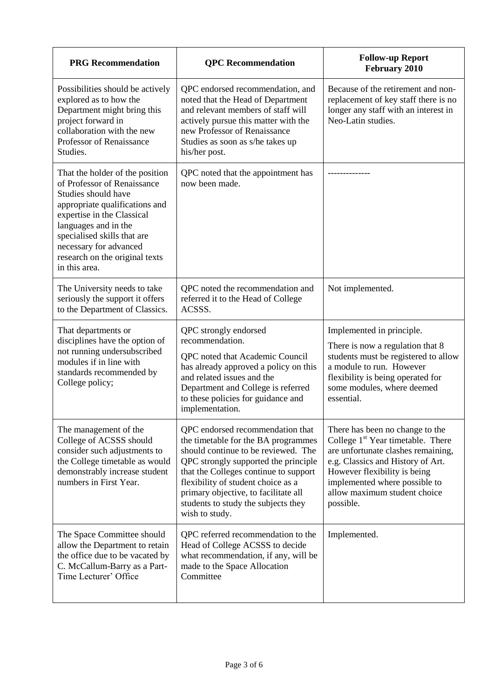| <b>PRG</b> Recommendation                                                                                                                                                                                                                                                                 | <b>QPC</b> Recommendation                                                                                                                                                                                                                                                                                                              | <b>Follow-up Report</b><br><b>February 2010</b>                                                                                                                                                                                                                           |
|-------------------------------------------------------------------------------------------------------------------------------------------------------------------------------------------------------------------------------------------------------------------------------------------|----------------------------------------------------------------------------------------------------------------------------------------------------------------------------------------------------------------------------------------------------------------------------------------------------------------------------------------|---------------------------------------------------------------------------------------------------------------------------------------------------------------------------------------------------------------------------------------------------------------------------|
| Possibilities should be actively<br>explored as to how the<br>Department might bring this<br>project forward in<br>collaboration with the new<br>Professor of Renaissance<br>Studies.                                                                                                     | QPC endorsed recommendation, and<br>noted that the Head of Department<br>and relevant members of staff will<br>actively pursue this matter with the<br>new Professor of Renaissance<br>Studies as soon as s/he takes up<br>his/her post.                                                                                               | Because of the retirement and non-<br>replacement of key staff there is no<br>longer any staff with an interest in<br>Neo-Latin studies.                                                                                                                                  |
| That the holder of the position<br>of Professor of Renaissance<br>Studies should have<br>appropriate qualifications and<br>expertise in the Classical<br>languages and in the<br>specialised skills that are<br>necessary for advanced<br>research on the original texts<br>in this area. | QPC noted that the appointment has<br>now been made.                                                                                                                                                                                                                                                                                   |                                                                                                                                                                                                                                                                           |
| The University needs to take<br>seriously the support it offers<br>to the Department of Classics.                                                                                                                                                                                         | QPC noted the recommendation and<br>referred it to the Head of College<br>ACSSS.                                                                                                                                                                                                                                                       | Not implemented.                                                                                                                                                                                                                                                          |
| That departments or<br>disciplines have the option of<br>not running undersubscribed<br>modules if in line with<br>standards recommended by<br>College policy;                                                                                                                            | QPC strongly endorsed<br>recommendation.<br>QPC noted that Academic Council<br>has already approved a policy on this<br>and related issues and the<br>Department and College is referred<br>to these policies for guidance and<br>implementation.                                                                                      | Implemented in principle.<br>There is now a regulation that 8<br>students must be registered to allow<br>a module to run. However<br>flexibility is being operated for<br>some modules, where deemed<br>essential.                                                        |
| The management of the<br>College of ACSSS should<br>consider such adjustments to<br>the College timetable as would<br>demonstrably increase student<br>numbers in First Year.                                                                                                             | QPC endorsed recommendation that<br>the timetable for the BA programmes<br>should continue to be reviewed. The<br>QPC strongly supported the principle<br>that the Colleges continue to support<br>flexibility of student choice as a<br>primary objective, to facilitate all<br>students to study the subjects they<br>wish to study. | There has been no change to the<br>College 1 <sup>st</sup> Year timetable. There<br>are unfortunate clashes remaining,<br>e.g. Classics and History of Art.<br>However flexibility is being<br>implemented where possible to<br>allow maximum student choice<br>possible. |
| The Space Committee should<br>allow the Department to retain<br>the office due to be vacated by<br>C. McCallum-Barry as a Part-<br>Time Lecturer' Office                                                                                                                                  | QPC referred recommendation to the<br>Head of College ACSSS to decide<br>what recommendation, if any, will be<br>made to the Space Allocation<br>Committee                                                                                                                                                                             | Implemented.                                                                                                                                                                                                                                                              |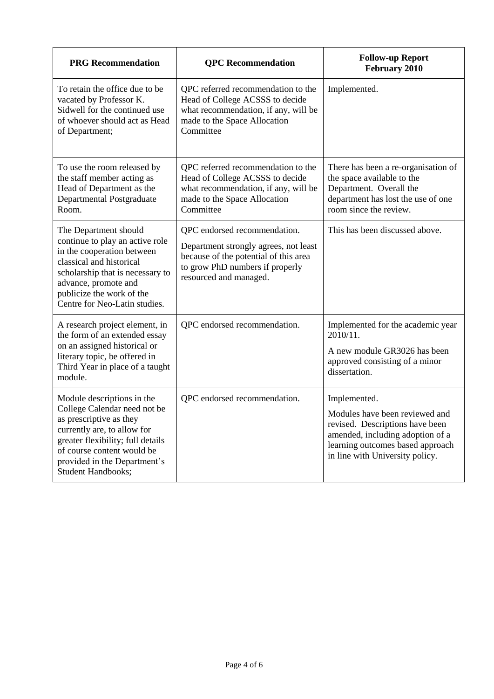| <b>PRG</b> Recommendation                                                                                                                                                                                                                            | <b>QPC</b> Recommendation                                                                                                                                                   | <b>Follow-up Report</b><br>February 2010                                                                                                                                                     |
|------------------------------------------------------------------------------------------------------------------------------------------------------------------------------------------------------------------------------------------------------|-----------------------------------------------------------------------------------------------------------------------------------------------------------------------------|----------------------------------------------------------------------------------------------------------------------------------------------------------------------------------------------|
| To retain the office due to be<br>vacated by Professor K.<br>Sidwell for the continued use<br>of whoever should act as Head<br>of Department;                                                                                                        | QPC referred recommendation to the<br>Head of College ACSSS to decide<br>what recommendation, if any, will be<br>made to the Space Allocation<br>Committee                  | Implemented.                                                                                                                                                                                 |
| To use the room released by<br>the staff member acting as<br>Head of Department as the<br>Departmental Postgraduate<br>Room.                                                                                                                         | QPC referred recommendation to the<br>Head of College ACSSS to decide<br>what recommendation, if any, will be<br>made to the Space Allocation<br>Committee                  | There has been a re-organisation of<br>the space available to the<br>Department. Overall the<br>department has lost the use of one<br>room since the review.                                 |
| The Department should<br>continue to play an active role<br>in the cooperation between<br>classical and historical<br>scholarship that is necessary to<br>advance, promote and<br>publicize the work of the<br>Centre for Neo-Latin studies.         | QPC endorsed recommendation.<br>Department strongly agrees, not least<br>because of the potential of this area<br>to grow PhD numbers if properly<br>resourced and managed. | This has been discussed above.                                                                                                                                                               |
| A research project element, in<br>the form of an extended essay<br>on an assigned historical or<br>literary topic, be offered in<br>Third Year in place of a taught<br>module.                                                                       | QPC endorsed recommendation.                                                                                                                                                | Implemented for the academic year<br>2010/11.<br>A new module GR3026 has been<br>approved consisting of a minor<br>dissertation.                                                             |
| Module descriptions in the<br>College Calendar need not be<br>as prescriptive as they<br>currently are, to allow for<br>greater flexibility; full details<br>of course content would be<br>provided in the Department's<br><b>Student Handbooks;</b> | QPC endorsed recommendation.                                                                                                                                                | Implemented.<br>Modules have been reviewed and<br>revised. Descriptions have been<br>amended, including adoption of a<br>learning outcomes based approach<br>in line with University policy. |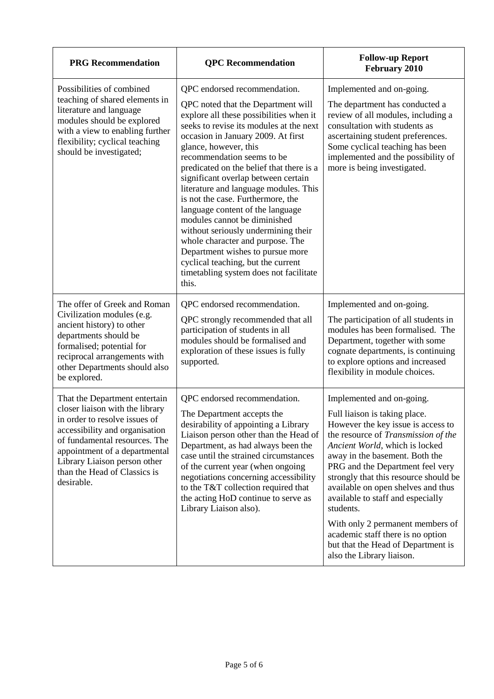| <b>PRG</b> Recommendation                                                                                                                                                                                                                                                           | <b>QPC</b> Recommendation                                                                                                                                                                                                                                                                                                                                                                                                                                                                                                                                                                                                                                                                          | <b>Follow-up Report</b><br>February 2010                                                                                                                                                                                                                                                                                                                                                                                                                                                                                     |
|-------------------------------------------------------------------------------------------------------------------------------------------------------------------------------------------------------------------------------------------------------------------------------------|----------------------------------------------------------------------------------------------------------------------------------------------------------------------------------------------------------------------------------------------------------------------------------------------------------------------------------------------------------------------------------------------------------------------------------------------------------------------------------------------------------------------------------------------------------------------------------------------------------------------------------------------------------------------------------------------------|------------------------------------------------------------------------------------------------------------------------------------------------------------------------------------------------------------------------------------------------------------------------------------------------------------------------------------------------------------------------------------------------------------------------------------------------------------------------------------------------------------------------------|
| Possibilities of combined<br>teaching of shared elements in<br>literature and language<br>modules should be explored<br>with a view to enabling further<br>flexibility; cyclical teaching<br>should be investigated;                                                                | QPC endorsed recommendation.<br>QPC noted that the Department will<br>explore all these possibilities when it<br>seeks to revise its modules at the next<br>occasion in January 2009. At first<br>glance, however, this<br>recommendation seems to be<br>predicated on the belief that there is a<br>significant overlap between certain<br>literature and language modules. This<br>is not the case. Furthermore, the<br>language content of the language<br>modules cannot be diminished<br>without seriously undermining their<br>whole character and purpose. The<br>Department wishes to pursue more<br>cyclical teaching, but the current<br>timetabling system does not facilitate<br>this. | Implemented and on-going.<br>The department has conducted a<br>review of all modules, including a<br>consultation with students as<br>ascertaining student preferences.<br>Some cyclical teaching has been<br>implemented and the possibility of<br>more is being investigated.                                                                                                                                                                                                                                              |
| The offer of Greek and Roman<br>Civilization modules (e.g.<br>ancient history) to other<br>departments should be<br>formalised; potential for<br>reciprocal arrangements with<br>other Departments should also<br>be explored.                                                      | QPC endorsed recommendation.<br>QPC strongly recommended that all<br>participation of students in all<br>modules should be formalised and<br>exploration of these issues is fully<br>supported.                                                                                                                                                                                                                                                                                                                                                                                                                                                                                                    | Implemented and on-going.<br>The participation of all students in<br>modules has been formalised. The<br>Department, together with some<br>cognate departments, is continuing<br>to explore options and increased<br>flexibility in module choices.                                                                                                                                                                                                                                                                          |
| That the Department entertain<br>closer liaison with the library<br>in order to resolve issues of<br>accessibility and organisation<br>of fundamental resources. The<br>appointment of a departmental<br>Library Liaison person other<br>than the Head of Classics is<br>desirable. | QPC endorsed recommendation.<br>The Department accepts the<br>desirability of appointing a Library<br>Liaison person other than the Head of<br>Department, as had always been the<br>case until the strained circumstances<br>of the current year (when ongoing<br>negotiations concerning accessibility<br>to the T&T collection required that<br>the acting HoD continue to serve as<br>Library Liaison also).                                                                                                                                                                                                                                                                                   | Implemented and on-going.<br>Full liaison is taking place.<br>However the key issue is access to<br>the resource of Transmission of the<br>Ancient World, which is locked<br>away in the basement. Both the<br>PRG and the Department feel very<br>strongly that this resource should be<br>available on open shelves and thus<br>available to staff and especially<br>students.<br>With only 2 permanent members of<br>academic staff there is no option<br>but that the Head of Department is<br>also the Library liaison. |